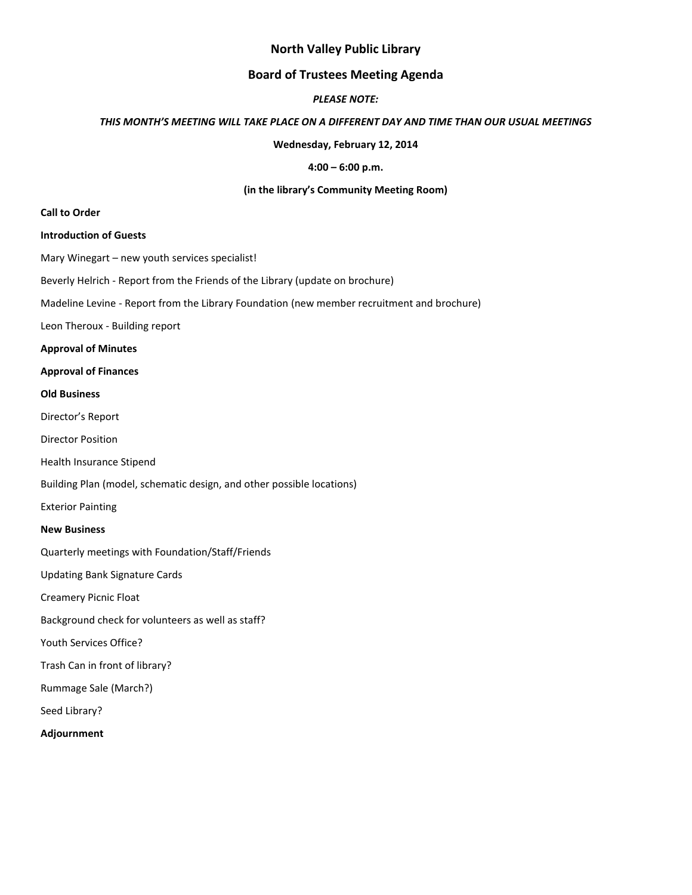## **North Valley Public Library**

### **Board of Trustees Meeting Agenda**

### *PLEASE NOTE:*

#### *THIS MONTH'S MEETING WILL TAKE PLACE ON A DIFFERENT DAY AND TIME THAN OUR USUAL MEETINGS*

**Wednesday, February 12, 2014**

#### **4:00 – 6:00 p.m.**

#### **(in the library's Community Meeting Room)**

#### **Call to Order**

#### **Introduction of Guests**

Mary Winegart – new youth services specialist!

Beverly Helrich - Report from the Friends of the Library (update on brochure)

Madeline Levine - Report from the Library Foundation (new member recruitment and brochure)

Leon Theroux - Building report

#### **Approval of Minutes**

#### **Approval of Finances**

#### **Old Business**

- Director's Report
- Director Position
- Health Insurance Stipend
- Building Plan (model, schematic design, and other possible locations)

Exterior Painting

#### **New Business**

Quarterly meetings with Foundation/Staff/Friends

Updating Bank Signature Cards

Creamery Picnic Float

Background check for volunteers as well as staff?

Youth Services Office?

Trash Can in front of library?

Rummage Sale (March?)

Seed Library?

**Adjournment**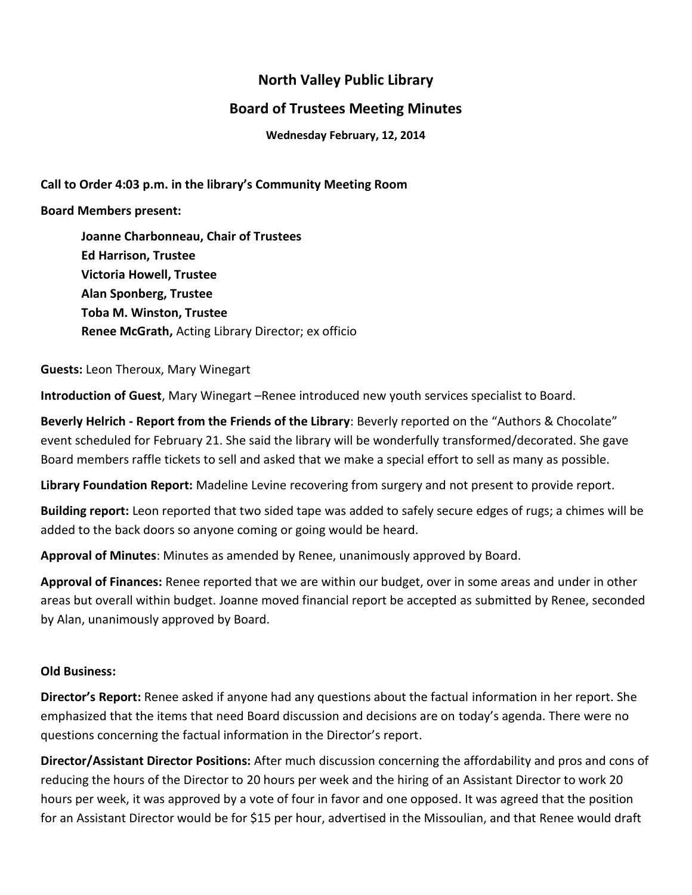# **North Valley Public Library**

# **Board of Trustees Meeting Minutes**

**Wednesday February, 12, 2014**

**Call to Order 4:03 p.m. in the library's Community Meeting Room**

## **Board Members present:**

**Joanne Charbonneau, Chair of Trustees Ed Harrison, Trustee Victoria Howell, Trustee Alan Sponberg, Trustee Toba M. Winston, Trustee Renee McGrath,** Acting Library Director; ex officio

**Guests:** Leon Theroux, Mary Winegart

**Introduction of Guest**, Mary Winegart –Renee introduced new youth services specialist to Board.

**Beverly Helrich - Report from the Friends of the Library**: Beverly reported on the "Authors & Chocolate" event scheduled for February 21. She said the library will be wonderfully transformed/decorated. She gave Board members raffle tickets to sell and asked that we make a special effort to sell as many as possible.

**Library Foundation Report:** Madeline Levine recovering from surgery and not present to provide report.

**Building report:** Leon reported that two sided tape was added to safely secure edges of rugs; a chimes will be added to the back doors so anyone coming or going would be heard.

**Approval of Minutes**: Minutes as amended by Renee, unanimously approved by Board.

**Approval of Finances:** Renee reported that we are within our budget, over in some areas and under in other areas but overall within budget. Joanne moved financial report be accepted as submitted by Renee, seconded by Alan, unanimously approved by Board.

# **Old Business:**

**Director's Report:** Renee asked if anyone had any questions about the factual information in her report. She emphasized that the items that need Board discussion and decisions are on today's agenda. There were no questions concerning the factual information in the Director's report.

**Director/Assistant Director Positions:** After much discussion concerning the affordability and pros and cons of reducing the hours of the Director to 20 hours per week and the hiring of an Assistant Director to work 20 hours per week, it was approved by a vote of four in favor and one opposed. It was agreed that the position for an Assistant Director would be for \$15 per hour, advertised in the Missoulian, and that Renee would draft